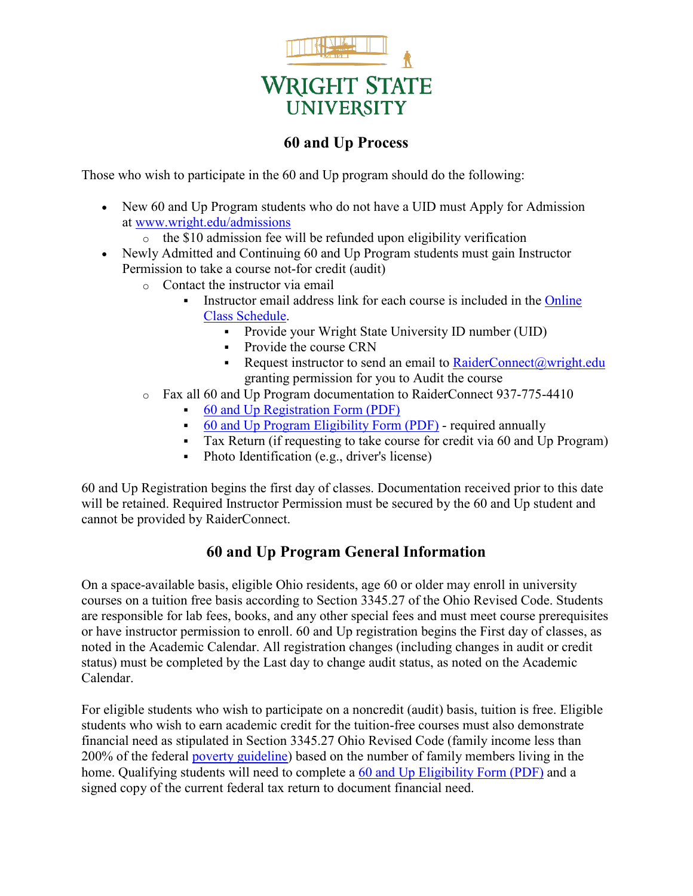

## **60 and Up Process**

Those who wish to participate in the 60 and Up program should do the following:

- New 60 and Up Program students who do not have a UID must Apply for Admission at [www.wright.edu/admissions](http://www.wright.edu/admissions)
	- $\circ$  the \$10 admission fee will be refunded upon eligibility verification
- Newly Admitted and Continuing 60 and Up Program students must gain Instructor Permission to take a course not-for credit (audit)
	- o Contact the instructor via email
		- Instructor email address link for each course is included in the [Online](http://wingsexpress.wright.edu/classes/)  [Class Schedule.](http://wingsexpress.wright.edu/classes/)
			- Provide your Wright State University ID number (UID)
				- Provide the course CRN
				- Request instructor to send an email to [RaiderConnect@wright.edu](mailto:RaiderConnect@wright.edu) granting permission for you to Audit the course
	- o Fax all 60 and Up Program documentation to RaiderConnect 937-775-4410
		- [60 and Up Registration Form \(PDF\)](https://www.wright.edu/sites/www.wright.edu/files/page/attachments/60-and-Up-Registration-Form.pdf)
		- [60 and Up Program Eligibility Form \(PDF\)](http://www.wright.edu/sites/www.wright.edu/files/page/attachments/Senior-Citizen-60-and-Up-Eligibility-Form.pdf) required annually
		- Tax Return (if requesting to take course for credit via 60 and Up Program)
		- Photo Identification (e.g., driver's license)

60 and Up Registration begins the first day of classes. Documentation received prior to this date will be retained. Required Instructor Permission must be secured by the 60 and Up student and cannot be provided by RaiderConnect.

## **60 and Up Program General Information**

On a space-available basis, eligible Ohio residents, age 60 or older may enroll in university courses on a tuition free basis according to Section 3345.27 of the Ohio Revised Code. Students are responsible for lab fees, books, and any other special fees and must meet course prerequisites or have instructor permission to enroll. 60 and Up registration begins the First day of classes, as noted in the Academic Calendar. All registration changes (including changes in audit or credit status) must be completed by the Last day to change audit status, as noted on the Academic Calendar.

For eligible students who wish to participate on a noncredit (audit) basis, tuition is free. Eligible students who wish to earn academic credit for the tuition-free courses must also demonstrate financial need as stipulated in Section 3345.27 Ohio Revised Code (family income less than 200% of the federal [poverty guideline\)](http://aspe.hhs.gov/poverty/index.shtml) based on the number of family members living in the home. Qualifying students will need to complete a [60 and Up Eligibility Form \(PDF\)](http://www.wright.edu/sites/www.wright.edu/files/page/attachments/Senior-Citizen-60-and-Up-Eligibility-Form_0.pdf) and a signed copy of the current federal tax return to document financial need.